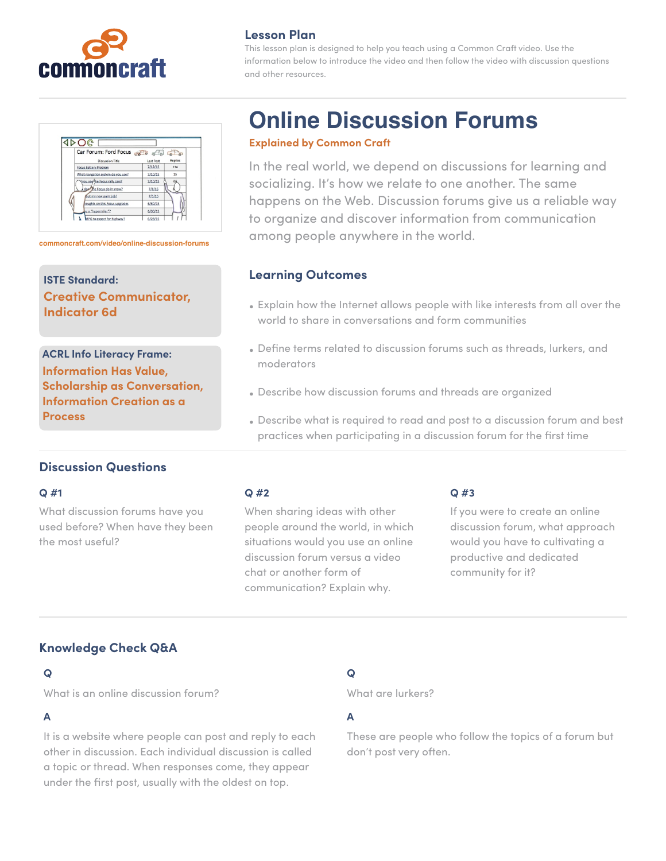

| <b>Lesson Plan</b> |  |
|--------------------|--|
|--------------------|--|

This lesson plan is designed to help you teach using a Common Craft video. Use the information below to introduce the video and then follow the video with discussion questions and other resources.

| Car Forum: Ford Focus              |           |                |
|------------------------------------|-----------|----------------|
| Discussion Title                   | Last Post | <b>Replies</b> |
| Focus Battery Problem              | 7/12/15   | 234            |
| What navigation system do you use? | 7/10/15   | 15             |
| Vou see the Focus rally cars?      | 7/10/15   |                |
| does the Focus do in snow?         | 7/8/15    |                |
| fout my new paint job!             | 7/5/15    |                |
| houghts on this Focus upgrades     | 6/30/15   |                |
| bu a "hypermiler"?                 | 6/30/15   |                |
| APG to expect for highway?         | 6/28/15   |                |

**ISTE Standard: Creative Communicator, Indicator 6d**

**ACRL Info Literacy Frame: Information Has Value, Scholarship as Conversation, Information Creation as a Process**

# **Online Discussion Forums**

#### **Explained by Common Craft**

In the real world, we depend on discussions for learning and socializing. It's how we relate to one another. The same happens on the Web. Discussion forums give us a reliable way to organize and discover information from communication **among people anywhere in the world. commoncraft com/video/online-discussion-forums common people anywhere in the world.** 

### **Learning Outcomes**

- Explain how the Internet allows people with like interests from all over the world to share in conversations and form communities
- Define terms related to discussion forums such as threads, lurkers, and moderators
- Describe how discussion forums and threads are organized
- Describe what is required to read and post to a discussion forum and best practices when participating in a discussion forum for the first time

# **Discussion Questions**

#### **Q #1**

What discussion forums have you used before? When have they been the most useful?

#### **Q #2**

When sharing ideas with other people around the world, in which situations would you use an online discussion forum versus a video chat or another form of communication? Explain why.

#### **Q #3**

If you were to create an online discussion forum, what approach would you have to cultivating a productive and dedicated community for it?

# **Knowledge Check Q&A**

#### **Q**

What is an online discussion forum?

#### **A**

It is a website where people can post and reply to each other in discussion. Each individual discussion is called a topic or thread. When responses come, they appear under the first post, usually with the oldest on top.

# **Q**

What are lurkers?

#### **A**

These are people who follow the topics of a forum but don't post very often.